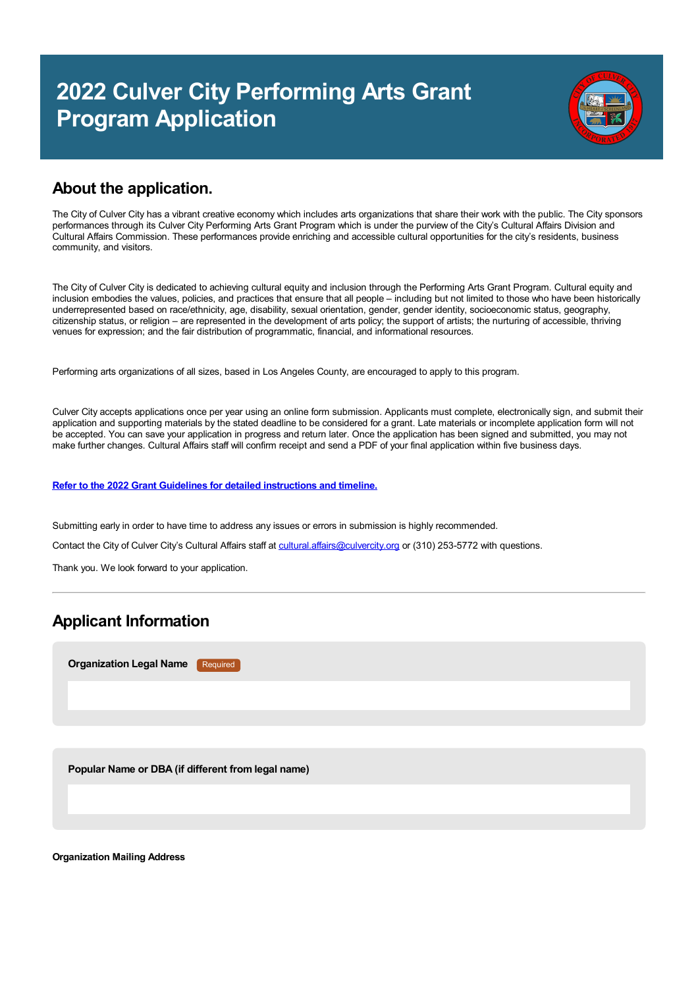# **2022 Culver City Performing Arts Grant Program Application**



## **About the application.**

The City of Culver City has a vibrant creative economy which includes arts organizations that share their work with the public. The City sponsors performances through its Culver City Performing Arts Grant Program which is under the purview of the City's Cultural Affairs Division and Cultural Affairs Commission. These performances provide enriching and accessible cultural opportunities for the city's residents, business community, and visitors.

The City of Culver City is dedicated to achieving cultural equity and inclusion through the Performing Arts Grant Program. Cultural equity and inclusion embodies the values, policies, and practices that ensure that all people – including but not limited to those who have been historically underrepresented based on race/ethnicity, age, disability, sexual orientation, gender, gender identity, socioeconomic status, geography, citizenship status, or religion – are represented in the development of arts policy; the support of artists; the nurturing of accessible, thriving venues for expression; and the fair distribution of programmatic, financial, and informational resources.

Performing arts organizations of all sizes, based in Los Angeles County, are encouraged to apply to this program.

Culver City accepts applications once per year using an online form submission. Applicants must complete, electronically sign, and submit their application and supporting materials by the stated deadline to be considered for a grant. Late materials or incomplete application form will not be accepted. You can save your application in progress and return later. Once the application has been signed and submitted, you may not make further changes. Cultural Affairs staff will confirm receipt and send a PDF of your final application within five business days.

**Refer to the 2022 Grant Guidelines for detailed [instructions](https://culvercity.admin.opencities.com/InformationManagement/CustomControls/File/#) and timeline.**

Submitting early in order to have time to address any issues or errors in submission is highly recommended.

Contact the City of Culver City's Cultural Affairs staff at [cultural.affairs@culvercity.org](mailto:cultural.affairs@culvercity.org) or (310) 253-5772 with questions.

Thank you. We look forward to your application.

# **Applicant Information**

**Organization Legal Name** Required

**Popular Name or DBA (if different from legal name)**

**Organization Mailing Address**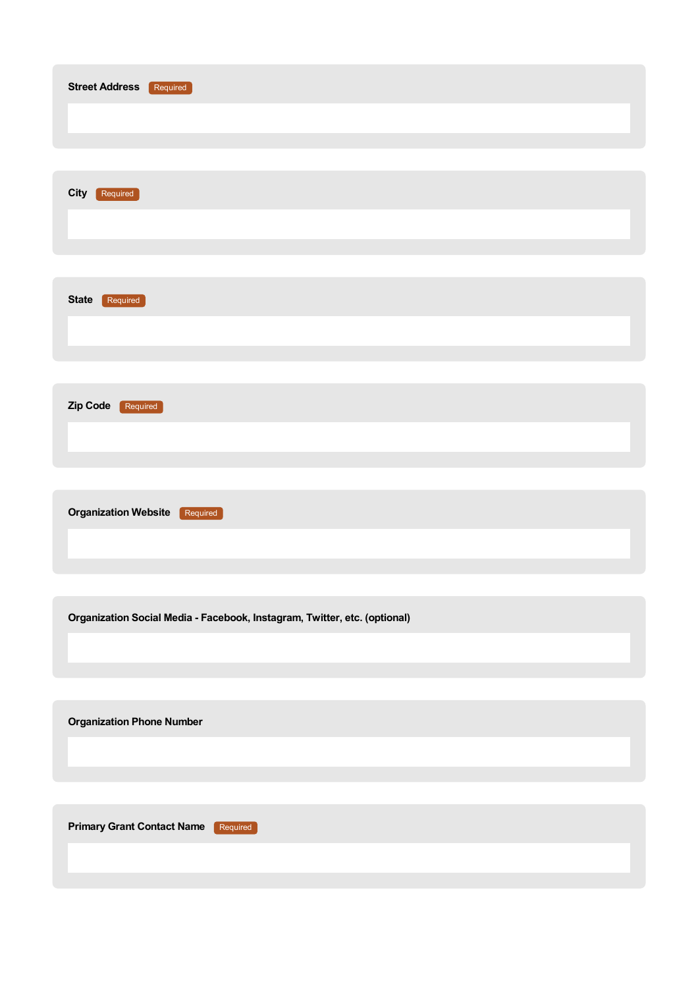| <b>Street Address</b><br>Required                                         |
|---------------------------------------------------------------------------|
| City<br>Required                                                          |
| <b>State</b><br>Required                                                  |
| Zip Code<br>Required                                                      |
| <b>Organization Website</b><br>Required                                   |
| Organization Social Media - Facebook, Instagram, Twitter, etc. (optional) |
| <b>Organization Phone Number</b>                                          |
| <b>Primary Grant Contact Name</b><br>Required                             |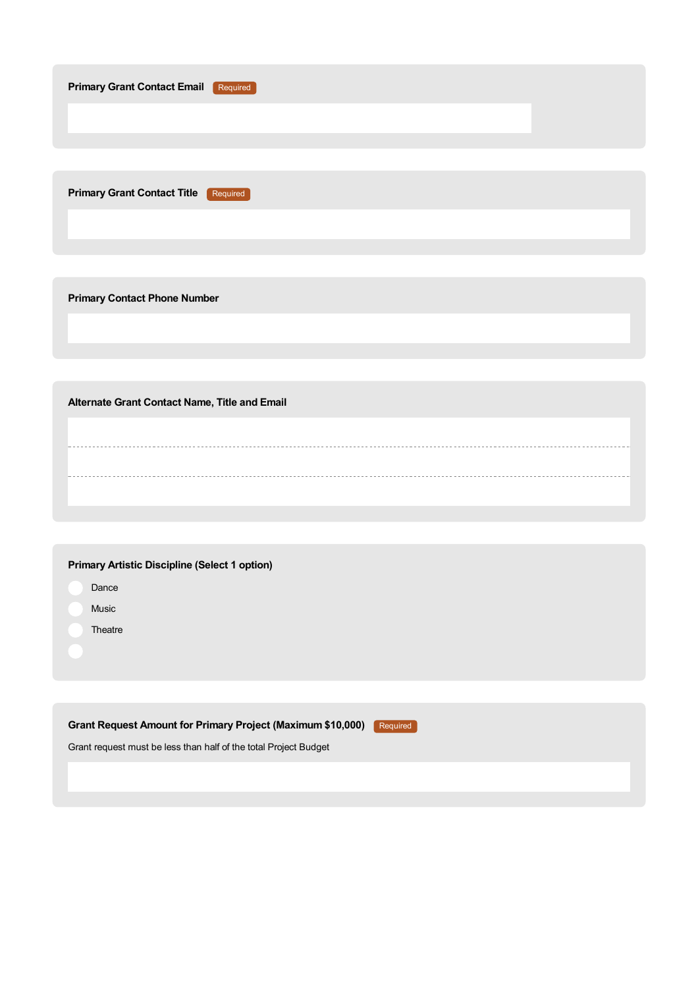| <b>Primary Grant Contact Email</b><br>Required |  |
|------------------------------------------------|--|
|                                                |  |
|                                                |  |
|                                                |  |
| <b>Primary Grant Contact Title</b><br>Required |  |
|                                                |  |
|                                                |  |
|                                                |  |
| <b>Primary Contact Phone Number</b>            |  |
|                                                |  |
|                                                |  |
|                                                |  |

**Alternate Grant Contact Name, Title and Email**

- Dance
- Music
- **Theatre**

**Grant Request Amount for Primary Project (Maximum \$10,000)** Required

Grant request must be less than half of the total Project Budget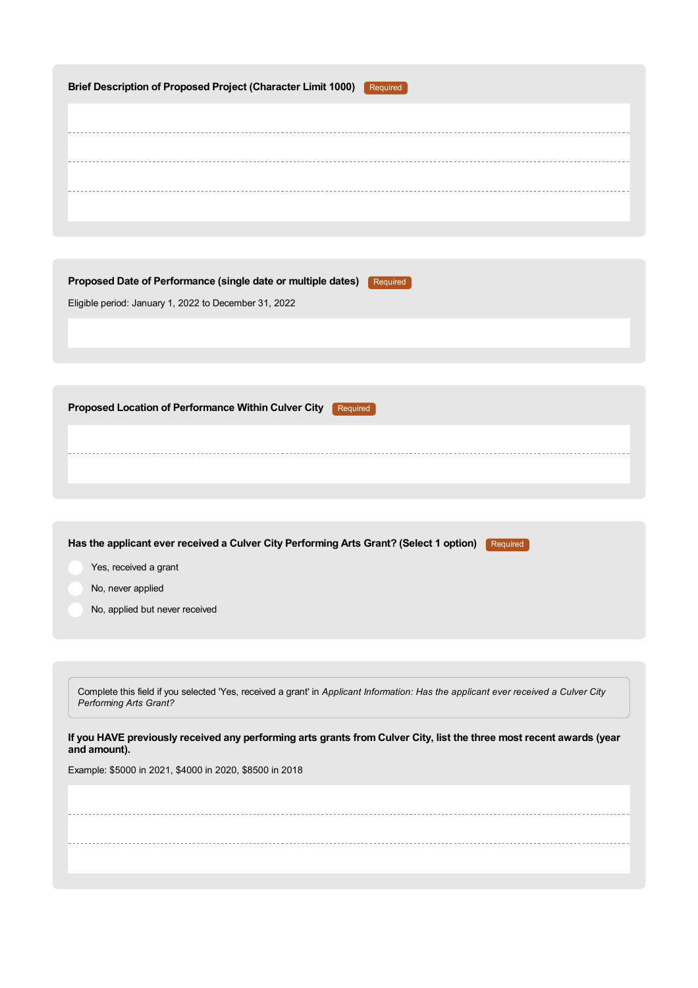| <b>Brief Description of Proposed Project (Character Limit 1000)</b><br>Required                                                                               |
|---------------------------------------------------------------------------------------------------------------------------------------------------------------|
|                                                                                                                                                               |
|                                                                                                                                                               |
|                                                                                                                                                               |
|                                                                                                                                                               |
|                                                                                                                                                               |
| Proposed Date of Performance (single date or multiple dates)<br>Required<br>Eligible period: January 1, 2022 to December 31, 2022                             |
|                                                                                                                                                               |
|                                                                                                                                                               |
|                                                                                                                                                               |
| Proposed Location of Performance Within Culver City<br>Required                                                                                               |
|                                                                                                                                                               |
|                                                                                                                                                               |
|                                                                                                                                                               |
| Has the applicant ever received a Culver City Performing Arts Grant? (Select 1 option)<br>Required                                                            |
| Yes, received a grant                                                                                                                                         |
| No, never applied                                                                                                                                             |
| No, applied but never received                                                                                                                                |
|                                                                                                                                                               |
|                                                                                                                                                               |
| Complete this field if you selected 'Yes, received a grant' in Applicant Information: Has the applicant ever received a Culver City<br>Performing Arts Grant? |
| If you HAVE previously received any performing arts grants from Culver City, list the three most recent awards (year<br>and amount).                          |
| Example: \$5000 in 2021, \$4000 in 2020, \$8500 in 2018                                                                                                       |
|                                                                                                                                                               |
|                                                                                                                                                               |
|                                                                                                                                                               |
|                                                                                                                                                               |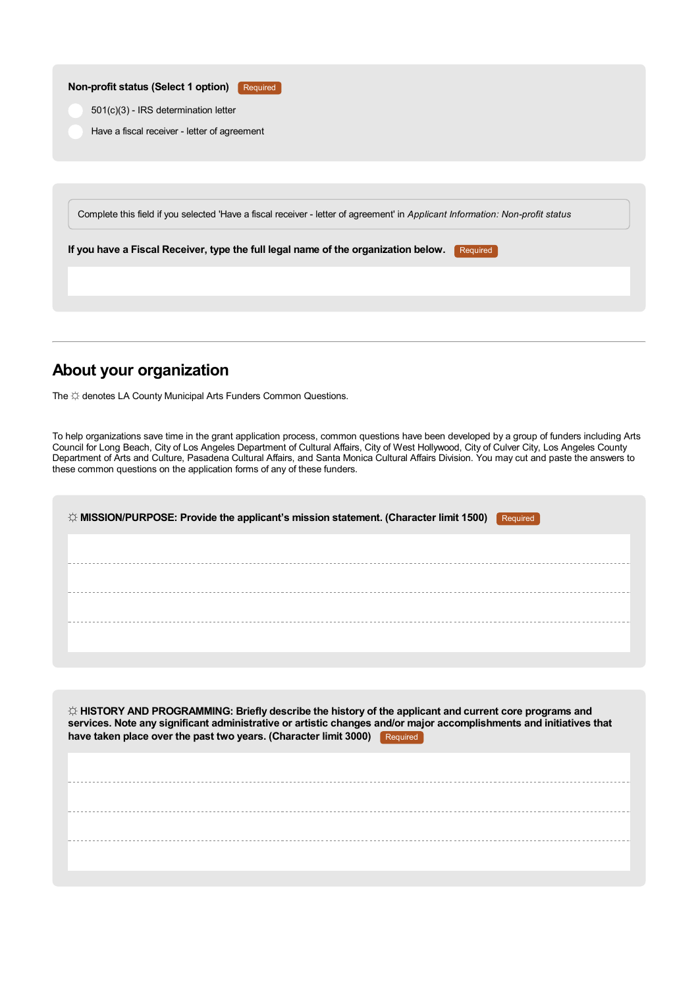| Non-profit status (Select 1 option)          | Required                                                                                                                       |
|----------------------------------------------|--------------------------------------------------------------------------------------------------------------------------------|
| 501(c)(3) - IRS determination letter         |                                                                                                                                |
| Have a fiscal receiver - letter of agreement |                                                                                                                                |
|                                              |                                                                                                                                |
|                                              |                                                                                                                                |
|                                              |                                                                                                                                |
|                                              | Complete this field if you selected 'Have a fiscal receiver - letter of agreement' in Applicant Information: Non-profit status |
|                                              | If you have a Fiscal Receiver, type the full legal name of the organization below.<br>Required                                 |
|                                              |                                                                                                                                |
|                                              |                                                                                                                                |
|                                              |                                                                                                                                |

# **About your organization**

The  $\uplus$  denotes LA County Municipal Arts Funders Common Questions.

To help organizations save time in the grant application process, common questions have been developed by a group of funders including Arts Council for Long Beach, City of Los Angeles Department of Cultural Affairs, City of West Hollywood, City of Culver City, Los Angeles County Department of Arts and Culture, Pasadena Cultural Affairs, and Santa Monica Cultural Affairs Division. You may cut and paste the answers to these common questions on the application forms of any of these funders.

| $\Diamond$ MISSION/PURPOSE: Provide the applicant's mission statement. (Character limit 1500)<br>Required |  |
|-----------------------------------------------------------------------------------------------------------|--|
|                                                                                                           |  |
|                                                                                                           |  |
|                                                                                                           |  |
|                                                                                                           |  |

| $\Diamond$ HISTORY AND PROGRAMMING: Briefly describe the history of the applicant and current core programs and<br>services. Note any significant administrative or artistic changes and/or major accomplishments and initiatives that<br>have taken place over the past two years. (Character limit 3000)<br>Required |  |  |  |
|------------------------------------------------------------------------------------------------------------------------------------------------------------------------------------------------------------------------------------------------------------------------------------------------------------------------|--|--|--|
|                                                                                                                                                                                                                                                                                                                        |  |  |  |
|                                                                                                                                                                                                                                                                                                                        |  |  |  |
|                                                                                                                                                                                                                                                                                                                        |  |  |  |
|                                                                                                                                                                                                                                                                                                                        |  |  |  |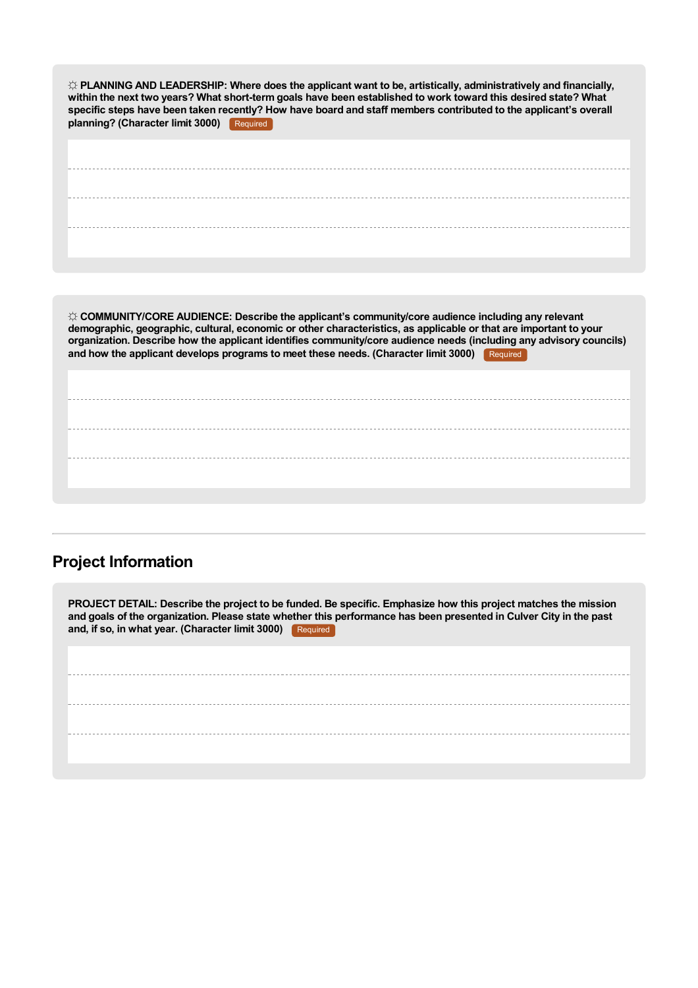| $\Im$ PLANNING AND LEADERSHIP: Where does the applicant want to be, artistically, administratively and financially,<br>within the next two years? What short-term goals have been established to work toward this desired state? What<br>specific steps have been taken recently? How have board and staff members contributed to the applicant's overall<br>planning? (Character limit 3000)<br>Required                                          |
|----------------------------------------------------------------------------------------------------------------------------------------------------------------------------------------------------------------------------------------------------------------------------------------------------------------------------------------------------------------------------------------------------------------------------------------------------|
|                                                                                                                                                                                                                                                                                                                                                                                                                                                    |
|                                                                                                                                                                                                                                                                                                                                                                                                                                                    |
|                                                                                                                                                                                                                                                                                                                                                                                                                                                    |
| $\Im$ COMMUNITY/CORE AUDIENCE: Describe the applicant's community/core audience including any relevant<br>demographic, geographic, cultural, economic or other characteristics, as applicable or that are important to your<br>organization. Describe how the applicant identifies community/core audience needs (including any advisory councils)<br>and how the applicant develops programs to meet these needs. (Character limit 3000) Required |
|                                                                                                                                                                                                                                                                                                                                                                                                                                                    |
|                                                                                                                                                                                                                                                                                                                                                                                                                                                    |
|                                                                                                                                                                                                                                                                                                                                                                                                                                                    |

# **Project Information**

PROJECT DETAIL: Describe the project to be funded. Be specific. Emphasize how this project matches the mission and goals of the organization. Please state whether this performance has been presented in Culver City in the past **and, if so, in what year. (Character limit 3000)** Required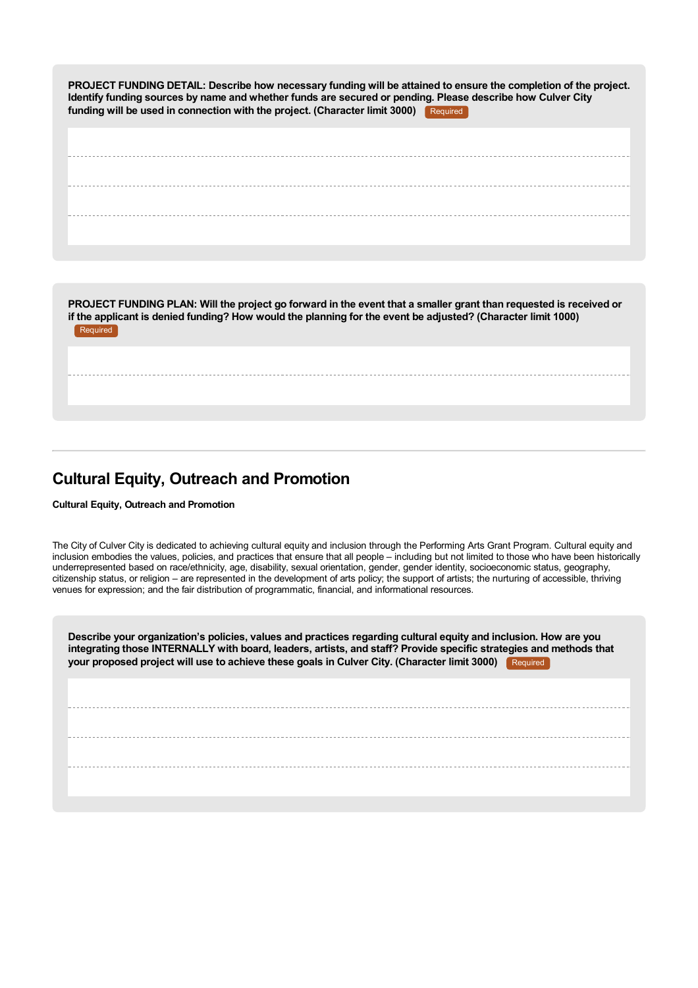PROJECT FUNDING DETAIL: Describe how necessary funding will be attained to ensure the completion of the project. Identify funding sources by name and whether funds are secured or pending. Please describe how Culver City **funding will be used in connection with the project. (Character limit 3000)** Required

PROJECT FUNDING PLAN: Will the project go forward in the event that a smaller grant than requested is received or if the applicant is denied funding? How would the planning for the event be adjusted? (Character limit 1000) Required

# **Cultural Equity, Outreach and Promotion**

**Cultural Equity, Outreach and Promotion**

The City of Culver City is dedicated to achieving cultural equity and inclusion through the Performing Arts Grant Program. Cultural equity and inclusion embodies the values, policies, and practices that ensure that all people – including but not limited to those who have been historically underrepresented based on race/ethnicity, age, disability, sexual orientation, gender, gender identity, socioeconomic status, geography, citizenship status, or religion – are represented in the development of arts policy; the support of artists; the nurturing of accessible, thriving venues for expression; and the fair distribution of programmatic, financial, and informational resources.

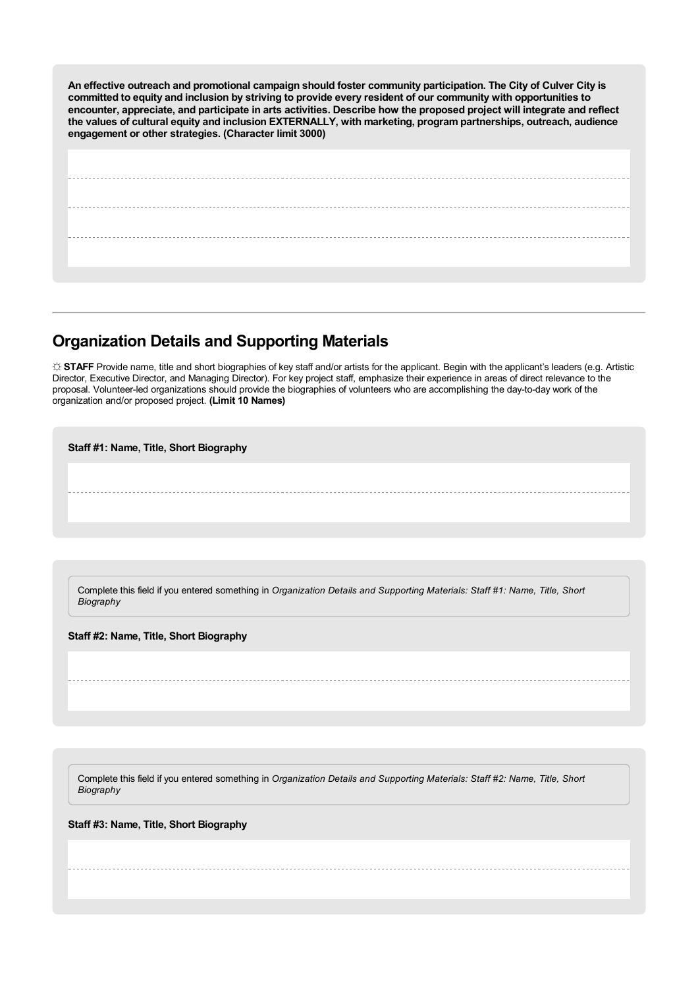**An effective outreach and promotional campaign should foster community participation. The City of Culver City is** committed to equity and inclusion by striving to provide every resident of our community with opportunities to encounter, appreciate, and participate in arts activities. Describe how the proposed project will integrate and reflect **the values of cultural equity and inclusion EXTERNALLY, with marketing, program partnerships, outreach, audience engagement or other strategies. (Character limit 3000)**

### **Organization Details and Supporting Materials**

**☼ STAFF** Provide name, title and short biographies of key staff and/or artists for the applicant. Begin with the applicant's leaders (e.g. Artistic Director, Executive Director, and Managing Director). For key project staff, emphasize their experience in areas of direct relevance to the proposal. Volunteer-led organizations should provide the biographies of volunteers who are accomplishing the day-to-day work of the organization and/or proposed project. **(Limit 10 Names)**

**Staff #1: Name, Title, Short Biography**

Complete this field if you entered something in *Organization Details and Supporting Materials: Staff #1: Name, Title, Short Biography*

**Staff #2: Name, Title, Short Biography**

Complete this field if you entered something in *Organization Details and Supporting Materials: Staff #2: Name, Title, Short Biography*

**Staff #3: Name, Title, Short Biography**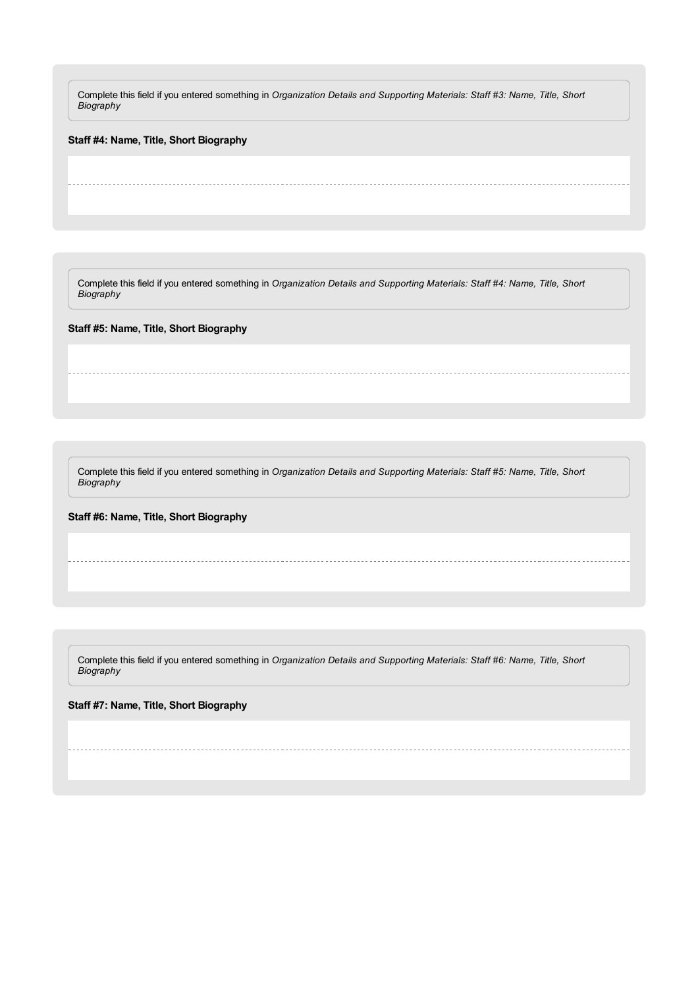Complete this field if you entered something in *Organization Details and Supporting Materials: Staff #3: Name, Title, Short Biography*

**Staff #4: Name, Title, Short Biography**

Complete this field if you entered something in *Organization Details and Supporting Materials: Staff #4: Name, Title, Short Biography*

**Staff #5: Name, Title, Short Biography**

Complete this field if you entered something in *Organization Details and Supporting Materials: Staff #5: Name, Title, Short Biography*

**Staff #6: Name, Title, Short Biography**

Complete this field if you entered something in *Organization Details and Supporting Materials: Staff #6: Name, Title, Short Biography*

**Staff #7: Name, Title, Short Biography**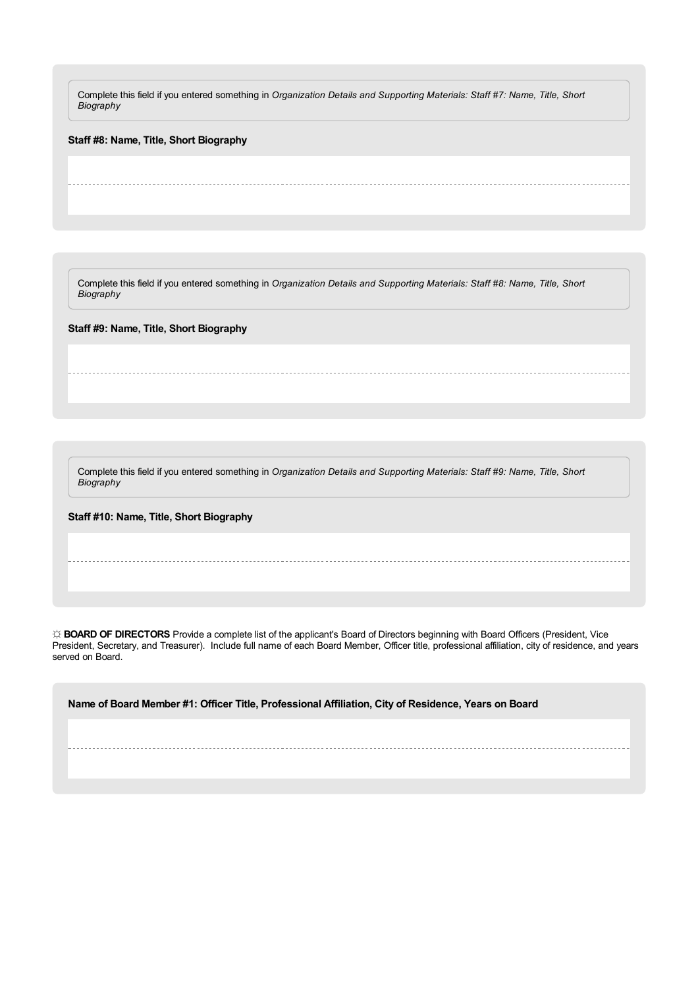Complete this field if you entered something in *Organization Details and Supporting Materials: Staff #7: Name, Title, Short Biography*

**Staff #8: Name, Title, Short Biography**

Complete this field if you entered something in *Organization Details and Supporting Materials: Staff #8: Name, Title, Short Biography*

**Staff #9: Name, Title, Short Biography**

Complete this field if you entered something in *Organization Details and Supporting Materials: Staff #9: Name, Title, Short Biography*

**Staff #10: Name, Title, Short Biography**

**☼ BOARD OF DIRECTORS** Provide a complete list of the applicant's Board of Directors beginning with Board Officers (President, Vice President, Secretary, and Treasurer). Include full name of each Board Member, Officer title, professional affiliation, city of residence, and years served on Board.

**Name of Board Member #1: Officer Title, Professional Affiliation, City of Residence, Years on Board**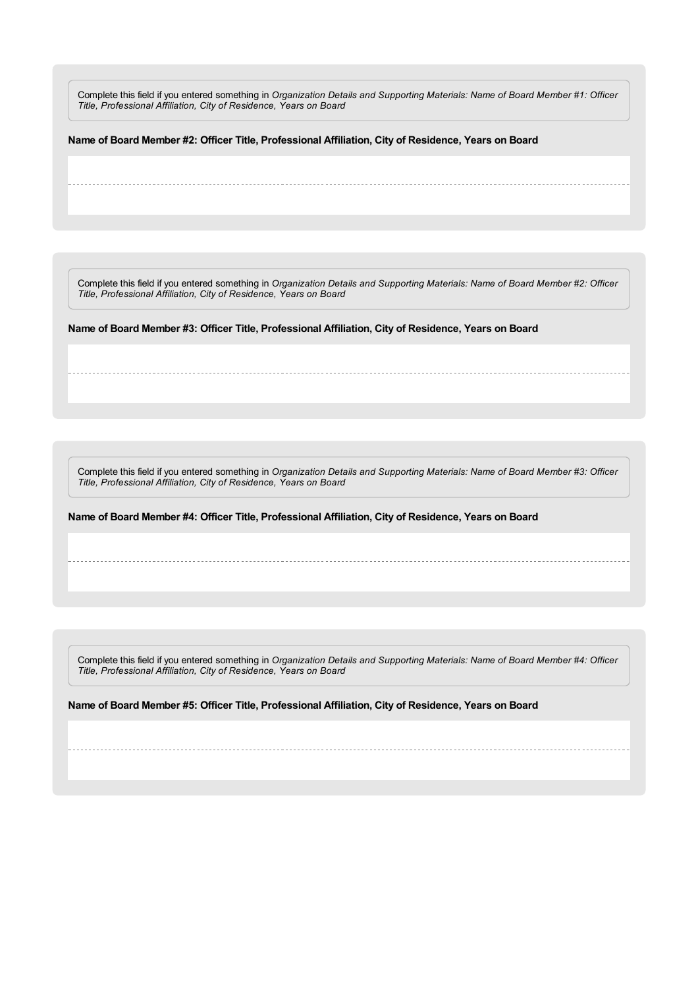Complete this field if you entered something in *Organization Details and Supporting Materials: Name of Board Member #1: Officer Title, Professional Affiliation, City of Residence, Years on Board*

**Name of Board Member #2: Officer Title, Professional Affiliation, City of Residence, Years on Board**

Complete this field if you entered something in *Organization Details and Supporting Materials: Name of Board Member #2: Officer Title, Professional Affiliation, City of Residence, Years on Board*

**Name of Board Member #3: Officer Title, Professional Affiliation, City of Residence, Years on Board**

Complete this field if you entered something in *Organization Details and Supporting Materials: Name of Board Member #3: Officer Title, Professional Affiliation, City of Residence, Years on Board*

**Name of Board Member #4: Officer Title, Professional Affiliation, City of Residence, Years on Board**

Complete this field if you entered something in *Organization Details and Supporting Materials: Name of Board Member #4: Officer Title, Professional Affiliation, City of Residence, Years on Board*

**Name of Board Member #5: Officer Title, Professional Affiliation, City of Residence, Years on Board**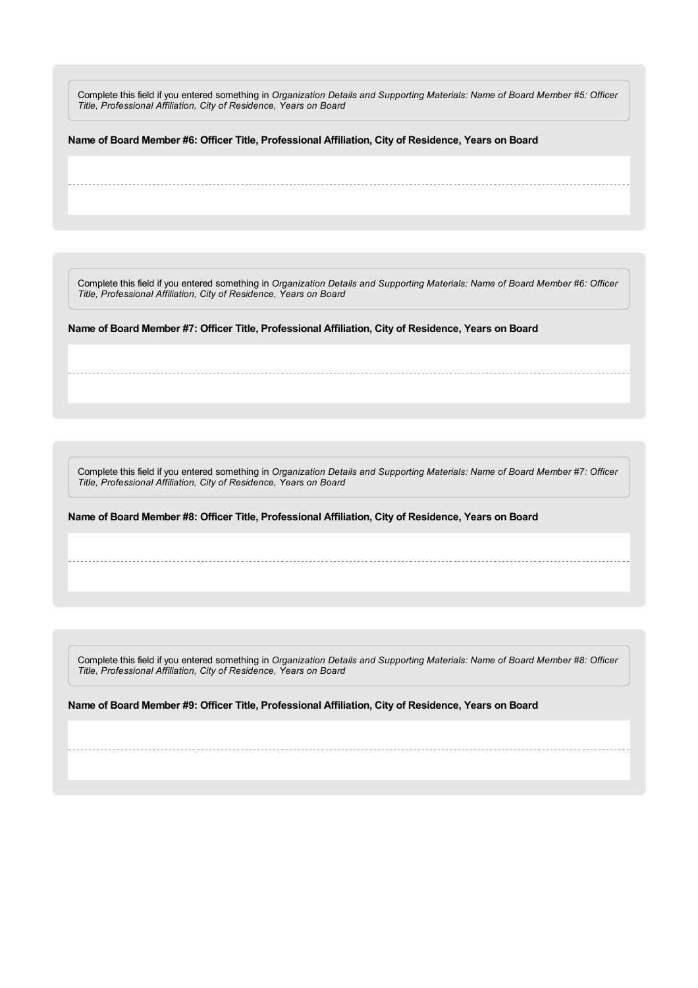Complete this field if you entered something in *Organization Details and Supporting Materials: Name of Board Member #5: Officer Title, Professional Affiliation, City of Residence, Years on Board*

**Name of Board Member #6: Officer Title, Professional Affiliation, City of Residence, Years on Board**

Complete this field if you entered something in *Organization Details and Supporting Materials: Name of Board Member #6: Officer Title, Professional Affiliation, City of Residence, Years on Board*

**Name of Board Member #7: Officer Title, Professional Affiliation, City of Residence, Years on Board**

Complete this field if you entered something in *Organization Details and Supporting Materials: Name of Board Member #7: Officer Title, Professional Affiliation, City of Residence, Years on Board*

**Name of Board Member #8: Officer Title, Professional Affiliation, City of Residence, Years on Board**

Complete this field if you entered something in *Organization Details and Supporting Materials: Name of Board Member #8: Officer Title, Professional Affiliation, City of Residence, Years on Board*

**Name of Board Member #9: Officer Title, Professional Affiliation, City of Residence, Years on Board**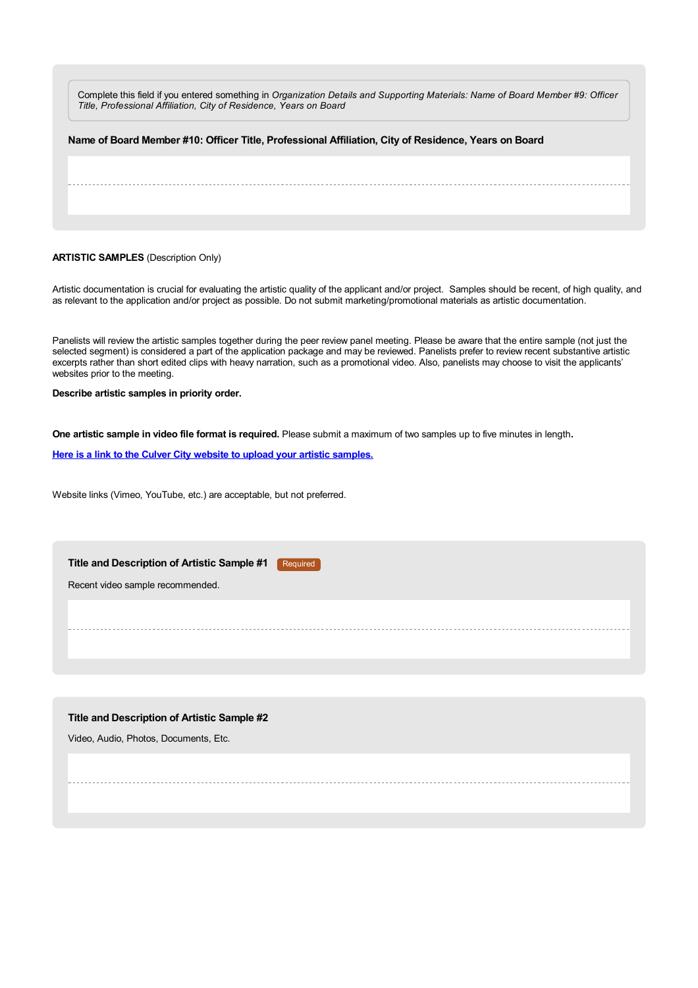Complete this field if you entered something in *Organization Details and Supporting Materials: Name of Board Member #9: Officer Title, Professional Affiliation, City of Residence, Years on Board*

| Name of Board Member #10: Officer Title, Professional Affiliation, City of Residence, Years on Board |
|------------------------------------------------------------------------------------------------------|
|                                                                                                      |
|                                                                                                      |
|                                                                                                      |
|                                                                                                      |

#### **ARTISTIC SAMPLES** (Description Only)

Artistic documentation is crucial for evaluating the artistic quality of the applicant and/or project. Samples should be recent, of high quality, and as relevant to the application and/or project as possible. Do not submit marketing/promotional materials as artistic documentation.

Panelists will review the artistic samples together during the peer review panel meeting. Please be aware that the entire sample (not just the selected segment) is considered a part of the application package and may be reviewed. Panelists prefer to review recent substantive artistic excerpts rather than short edited clips with heavy narration, such as a promotional video. Also, panelists may choose to visit the applicants' websites prior to the meeting.

**Describe artistic samples in priority order.**

**One artistic sample in video file format is required.** Please submit a maximum of two samples up to five minutes in length**.**

**Here is a link to the Culver City website to upload your artistic [samples.](https://www.culvercity.org/Explore/Arts-Culture/Upload-PAG)**

Website links (Vimeo, YouTube, etc.) are acceptable, but not preferred.

| Title and Description of Artistic Sample #1<br>Required |  |
|---------------------------------------------------------|--|
| Recent video sample recommended.                        |  |
|                                                         |  |
|                                                         |  |
|                                                         |  |

#### **Title and Description of Artistic Sample #2**

Video, Audio, Photos, Documents, Etc.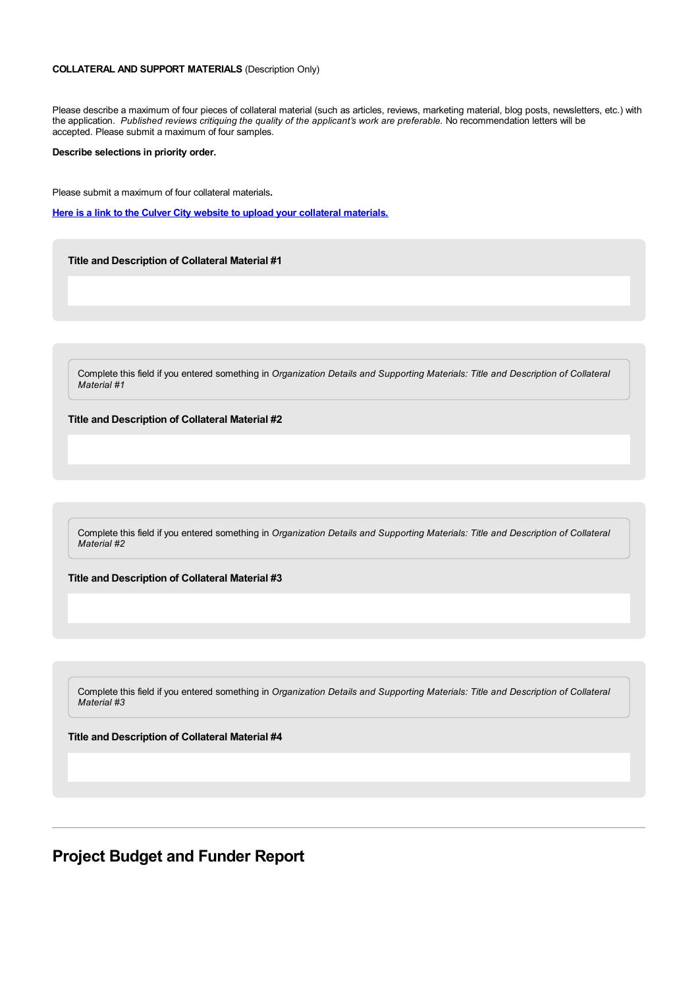#### **COLLATERAL AND SUPPORT MATERIALS** (Description Only)

Please describe a maximum of four pieces of collateral material (such as articles, reviews, marketing material, blog posts, newsletters, etc.) with the application. *Published reviews critiquing the quality of the applicant's work are preferable.* No recommendation letters will be accepted. Please submit a maximum of four samples.

#### **Describe selections in priority order.**

Please submit a maximum of four collateral materials**.**

**Here is a link to the Culver City website to upload your collateral [materials.](https://www.culvercity.org/Explore/Arts-Culture/Upload-PAG)**

**Title and Description of Collateral Material #1**

Complete this field if you entered something in *Organization Details and Supporting Materials: Title and Description of Collateral Material #1*

**Title and Description of Collateral Material #2**

Complete this field if you entered something in *Organization Details and Supporting Materials: Title and Description of Collateral Material #2*

**Title and Description of Collateral Material #3**

Complete this field if you entered something in *Organization Details and Supporting Materials: Title and Description of Collateral Material #3*

**Title and Description of Collateral Material #4**

### **Project Budget and Funder Report**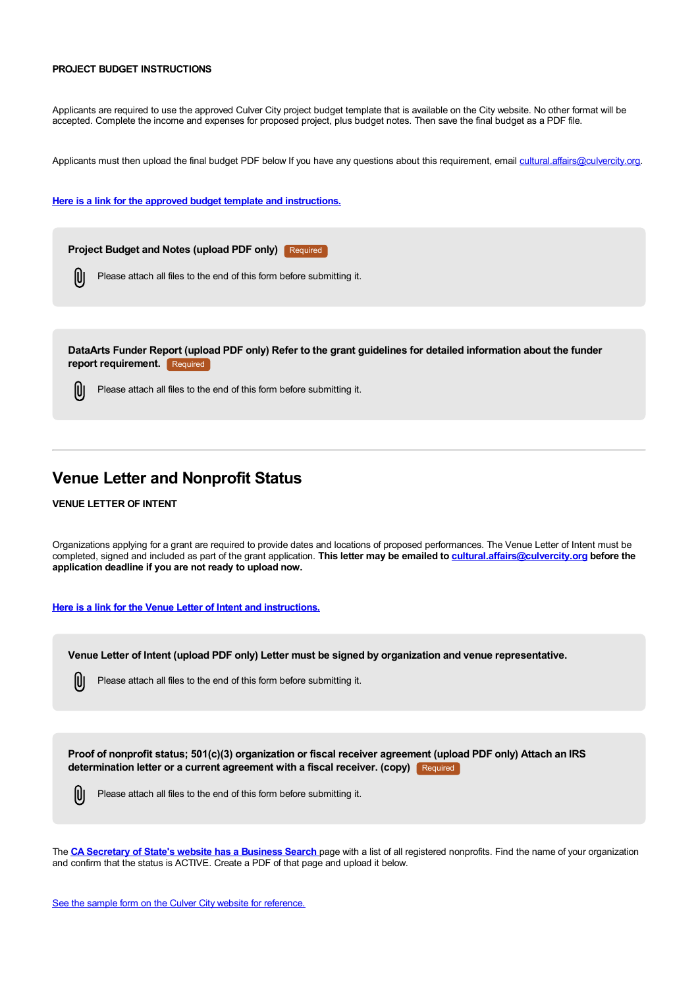#### **PROJECT BUDGET INSTRUCTIONS**

Applicants are required to use the approved Culver City project budget template that is available on the City website. No other format will be accepted. Complete the income and expenses for proposed project, plus budget notes. Then save the final budget as a PDF file.

Applicants must then upload the final budget PDF below If you have any questions about this requirement, email [cultural.affairs@culvercity.org](mailto:cultural.affairs@culvercity.org).

**Here is a link for the approved budget template and [instructions.](https://www.culvercity.org/enjoy/things-to-do/arts-culture/performing-arts-grants)**



DataArts Funder Report (upload PDF only) Refer to the grant guidelines for detailed information about the funder **report requirement.** Required

IÙ Please attach all files to the end of this form before submitting it.

### **Venue Letter and Nonprofit Status**

#### **VENUE LETTER OF INTENT**

Organizations applying for a grant are required to provide dates and locations of proposed performances. The Venue Letter of Intent must be completed, signed and included as part of the grant application. **This letter may be emailed to [cultural.affairs@culvercity.org](mailto:cultural.affairs@culvercity.org) before the application deadline if you are not ready to upload now.**

#### **Here is a link for the Venue Letter of Intent and [instructions.](https://culvercity.admin.opencities.com/InformationManagement/CustomControls/File/#)**

**Venue Letter of Intent (upload PDF only) Letter must be signed by organization and venue representative.**

IU Please attach all files to the end of this form before submitting it.

**Proof of nonprofit status; 501(c)(3) organization or fiscal receiver agreement (upload PDF only) Attach an IRS determination letter or a current agreement with a fiscal receiver. (copy)** Required



The **CA [Secretary](https://businesssearch.sos.ca.gov/) of State's website has a Business Search** page with a list of all registered nonprofits. Find the name of your organization and confirm that the status is ACTIVE. Create a PDF of that page and upload it below.